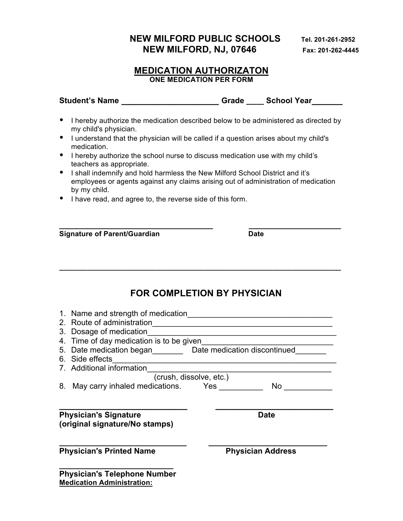## **NEW MILFORD PUBLIC SCHOOLS Tel. 201-261-2952 NEW MILFORD, NJ, 07646** Fax: 201-262-4445

#### **MEDICATION AUTHORIZATON ONE MEDICATION PER FORM**

| <b>Student's Name</b> | Grade | <b>School Year</b> |  |
|-----------------------|-------|--------------------|--|
|                       |       |                    |  |

- I hereby authorize the medication described below to be administered as directed by my child's physician.
- I understand that the physician will be called if a question arises about my child's medication.
- I hereby authorize the school nurse to discuss medication use with my child's teachers as appropriate.
- I shall indemnify and hold harmless the New Milford School District and it's employees or agents against any claims arising out of administration of medication by my child.

**\_\_\_\_\_\_\_\_\_\_\_\_\_\_\_\_\_\_\_\_\_\_\_\_\_\_\_\_\_\_\_\_\_\_\_ \_\_\_\_\_\_\_\_\_\_\_\_\_\_\_\_\_\_\_\_\_**

**\_\_\_\_\_\_\_\_\_\_\_\_\_\_\_\_\_\_\_\_\_\_\_\_\_\_\_\_\_\_\_\_\_\_\_\_\_\_\_\_\_\_\_\_\_\_\_\_\_\_\_\_\_\_\_\_\_\_\_\_\_\_\_\_\_\_\_\_\_\_**

• I have read, and agree to, the reverse side of this form.

**Signature of Parent/Guardian Date** 

# **FOR COMPLETION BY PHYSICIAN**

| 1. Name and strength of medication<br>2. Route of administration<br>Dosage of medication<br>3.<br>Time of day medication is to be given<br>4.<br>5. Date medication began Date medication discontinued<br>6. Side effects |                          |  |  |  |
|---------------------------------------------------------------------------------------------------------------------------------------------------------------------------------------------------------------------------|--------------------------|--|--|--|
| 7. Additional information                                                                                                                                                                                                 |                          |  |  |  |
| (crush, dissolve, etc.)                                                                                                                                                                                                   |                          |  |  |  |
| May carry inhaled medications. Yes<br>8.                                                                                                                                                                                  | No.                      |  |  |  |
| <b>Physician's Signature</b>                                                                                                                                                                                              | Date                     |  |  |  |
| (original signature/No stamps)                                                                                                                                                                                            |                          |  |  |  |
| <b>Physician's Printed Name</b>                                                                                                                                                                                           | <b>Physician Address</b> |  |  |  |
| <b>Physician's Telephone Number</b>                                                                                                                                                                                       |                          |  |  |  |
| <b>Medication Administration:</b>                                                                                                                                                                                         |                          |  |  |  |